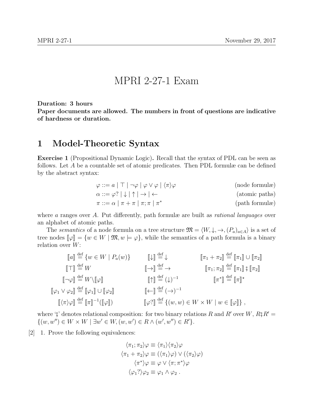## MPRI 2-27-1 Exam

Duration: 3 hours

Paper documents are allowed. The numbers in front of questions are indicative of hardness or duration.

## 1 Model-Theoretic Syntax

Exercise 1 (Propositional Dynamic Logic). Recall that the syntax of PDL can be seen as follows. Let A be a countable set of atomic predicates. Then PDL formulæ can be defined by the abstract syntax:

$$
\varphi ::= a | \top | \neg \varphi | \varphi \lor \varphi | \langle \pi \rangle \varphi
$$
 (node formulae)  
\n
$$
\alpha ::= \varphi? | \downarrow | \uparrow | \to | \leftarrow
$$
 (atomic paths)  
\n
$$
\pi ::= \alpha | \pi + \pi | \pi; \pi | \pi^*
$$
 (path formulae)

where a ranges over A. Put differently, path formulæ are built as *rational languages* over an alphabet of atomic paths.

The semantics of a node formula on a tree structure  $\mathfrak{M} = \langle W, \downarrow, \to, (P_a)_{a \in A} \rangle$  is a set of tree nodes  $\llbracket \varphi \rrbracket = \{w \in W \mid \mathfrak{M}, w \models \varphi\}$ , while the semantics of a path formula is a binary relation over  $W$ :

$$
\begin{aligned}\n\llbracket a \rrbracket &\stackrel{\text{def}}{=} \{ w \in W \mid P_a(w) \} &\llbracket \downarrow \rrbracket &\stackrel{\text{def}}{=} \downarrow &\llbracket \pi_1 + \pi_2 \rrbracket &\stackrel{\text{def}}{=} \llbracket \pi_1 \rrbracket \cup \llbracket \pi_2 \rrbracket \\
\llbracket \neg \varphi \rrbracket &\stackrel{\text{def}}{=} W \setminus \llbracket \varphi \rrbracket &\llbracket \varphi \rrbracket &\llbracket \uparrow \rrbracket &\stackrel{\text{def}}{=} (\downarrow)^{-1} &\llbracket \pi_1 : \pi_2 \rrbracket &\stackrel{\text{def}}{=} \llbracket \pi_1 \rrbracket \, \hat{\varphi} \llbracket \pi_2 \rrbracket \\
\llbracket \varphi_1 \vee \varphi_2 \rrbracket &\stackrel{\text{def}}{=} \llbracket \varphi_1 \rrbracket \cup \llbracket \varphi_2 \rrbracket &\llbracket \leftarrow \rrbracket &\stackrel{\text{def}}{=} (\rightarrow)^{-1} &\llbracket \pi \rrbracket &\stackrel{\text{def}}{=} \llbracket \pi \rrbracket \times \\
\llbracket \pi \rangle \varphi \rrbracket &\stackrel{\text{def}}{=} \llbracket \pi \rrbracket^{-1} (\llbracket \varphi \rrbracket) &\llbracket \varphi \rrbracket &\stackrel{\text{def}}{=} \llbracket (w, w) \in W \times W \mid w \in \llbracket \varphi \rrbracket \} \,,\n\end{aligned}
$$

where '<sub>9</sub>' denotes relational composition: for two binary relations R and R' over W,  $R$ <sup>9</sup> R'  $\{(w, w'') \in W \times W \mid \exists w' \in W, (w, w') \in R \wedge (w', w'') \in R'\}.$ 

 $[2]$  1. Prove the following equivalences:

$$
\langle \pi_1; \pi_2 \rangle \varphi \equiv \langle \pi_1 \rangle \langle \pi_2 \rangle \varphi
$$
  

$$
\langle \pi_1 + \pi_2 \rangle \varphi \equiv (\langle \pi_1 \rangle \varphi) \vee (\langle \pi_2 \rangle \varphi)
$$
  

$$
\langle \pi^* \rangle \varphi \equiv \varphi \vee \langle \pi; \pi^* \rangle \varphi
$$
  

$$
\langle \varphi_1? \rangle \varphi_2 \equiv \varphi_1 \wedge \varphi_2.
$$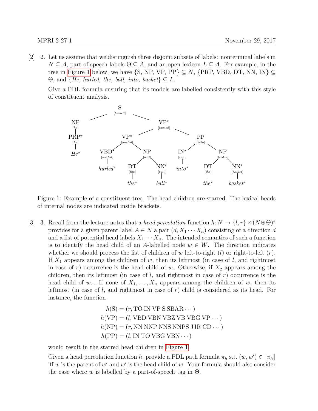[2] Let us assume that we distinguish three disjoint subsets of labels: nonterminal labels in 2.  $N \subseteq A$ , part-of-speech labels  $\Theta \subseteq A$ , and an open lexicon  $L \subseteq A$ . For example, in the tree in [Figure 1](#page-1-0) below, we have  $\{S, NP, VP, PP\} \subseteq N$ ,  $\{PRP, VBD, DT, NN, IN\} \subseteq$  $\Theta$ , and  $\{He, \,hurbed, \,the, \,ball, \,into, \, basket\} \subseteq L$ .

Give a PDL formula ensuring that its models are labelled consistently with this style of constituent analysis.



<span id="page-1-0"></span>Figure 1: Example of a constituent tree. The head children are starred. The lexical heads of internal nodes are indicated inside brackets.

[3] 3. Recall from the lecture notes that a head percolation function  $h: N \to \{l, r\} \times (N \cup \Theta)^*$ provides for a given parent label  $A \in N$  a pair  $(d, X_1 \cdots X_n)$  consisting of a direction d and a list of potential head labels  $X_1 \cdots X_n$ . The intended semantics of such a function is to identify the head child of an A-labelled node  $w \in W$ . The direction indicates whether we should process the list of children of w left-to-right  $(l)$  or right-to-left  $(r)$ . If  $X_1$  appears among the children of w, then its leftmost (in case of l, and rightmost in case of r) occurrence is the head child of w. Otherwise, if  $X_2$  appears among the children, then its leftmost (in case of  $l$ , and rightmost in case of  $r$ ) occurrence is the head child of w... If none of  $X_1, \ldots, X_n$  appears among the children of w, then its leftmost (in case of  $l$ , and rightmost in case of  $r$ ) child is considered as its head. For instance, the function

$$
h(S) = (r, TO IN VP S SBAR \cdots)
$$
  
\n
$$
h(VP) = (l, VBD VBN VBZ VB VBG VP \cdots)
$$
  
\n
$$
h(NP) = (r, NN NNP NNS NNPS JJR CD \cdots)
$$
  
\n
$$
h(PP) = (l, IN TO VBG VBN \cdots)
$$

would result in the starred head children in [Figure 1.](#page-1-0)

Given a head percolation function h, provide a PDL path formula  $\pi_h$  s.t.  $(w, w') \in [\![\pi_h]\!]$ <br>if w is the parent of w' and w' is the head child of w. Vour formula should also consider iff w is the parent of  $w'$  and  $w'$  is the head child of w. Your formula should also consider the case where w is labelled by a part-of-speech tag in  $\Theta$ .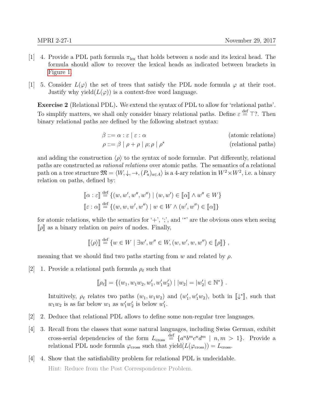- [1] 4. Provide a PDL path formula  $\pi_{lex}$  that holds between a node and its lexical head. The formula should allow to recover the lexical heads as indicated between brackets in [Figure 1.](#page-1-0)
- [1] 5. Consider  $L(\varphi)$  the set of trees that satisfy the PDL node formula  $\varphi$  at their root. Justify why yield $(L(\varphi))$  is a context-free word language.

Exercise 2 (Relational PDL). We extend the syntax of PDL to allow for 'relational paths'. To simplify matters, we shall only consider binary relational paths. Define  $\varepsilon \stackrel{\text{def}}{=} \top$ ?. Then binary relational paths are defined by the following abstract syntax:

$$
\beta ::= \alpha : \varepsilon \mid \varepsilon : \alpha \qquad \qquad \text{(atomic relations)}
$$
\n
$$
\rho ::= \beta \mid \rho + \rho \mid \rho; \rho \mid \rho^* \qquad \qquad \text{(relational paths)}
$$

and adding the construction  $\langle \rho \rangle$  to the syntax of node formulæ. Put differently, relational paths are constructed as rational relations over atomic paths. The semantics of a relational path on a tree structure  $\mathfrak{M} = \langle W, \downarrow, \to, (P_a)_{a \in A} \rangle$  is a 4-ary relation in  $W^2 \times W^2$ , i.e. a binary relation on paths, defined by:

$$
\llbracket \alpha : \varepsilon \rrbracket \stackrel{\text{def}}{=} \{ (w, w', w'', w'') \mid (w, w') \in \llbracket \alpha \rrbracket \land w'' \in W \}
$$

$$
\llbracket \varepsilon : \alpha \rrbracket \stackrel{\text{def}}{=} \{ (w, w, w', w'') \mid w \in W \land (w', w'') \in \llbracket \alpha \rrbracket \}
$$

for atomic relations, while the sematics for  $' +', '$ ; and  $'$ \*' are the obvious ones when seeing  $[\![\rho]\!]$  as a binary relation on *pairs* of nodes. Finally,

$$
[\![\langle \rho \rangle \!] \stackrel{\text{def}}{=} \{w \in W \mid \exists w', w'' \in W, (w, w', w, w'') \in [\![\rho]\!]\},
$$

meaning that we should find two paths starting from w and related by  $\rho$ .

[2] 1. Provide a relational path formula  $\rho_{\ell}$  such that

$$
[\![\rho_\ell]\!] = \{ (w_1, w_1w_2, w_1', w_1'w_2') \mid |w_2| = |w_2'| \in \mathbb{N}^* \}.
$$

Intuitively,  $\rho_{\ell}$  relates two paths  $(w_1, w_1w_2)$  and  $(w'_1, w'_1w_2)$ , both in  $[\downarrow^*]$ , such that  $w_1w_2$  is as far below  $w_1$  as  $w'_1w'_2$  is below  $w'_1$ .

- [2] Deduce that relational PDL allows to define some non-regular tree languages. 2.
- [4] 3. Recall from the classes that some natural languages, including Swiss German, exhibit cross-serial dependencies of the form  $L_{\text{cross}} \stackrel{\text{def}}{=} \{a^n b^m c^n d^m \mid n, m > 1\}.$  Provide a relational PDL node formula  $\varphi_{\text{cross}}$  such that  $yield(L(\varphi_{\text{cross}})) = L_{\text{cross}}$ .
- [4] 4. Show that the satisfiability problem for relational PDL is undecidable. Hint: Reduce from the Post Correspondence Problem.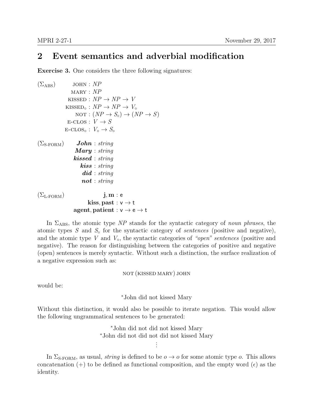## 2 Event semantics and adverbial modification

Exercise 3. One considers the three following signatures:

```
(\Sigma_{\rm ABS}) john : NPMARY : NPKISSED : NP \rightarrow NP \rightarrow VKISSED<sub>°</sub> : NP \rightarrow NP \rightarrow V°
                    NOT : (NP \rightarrow S_{\circ}) \rightarrow (NP \rightarrow S)E-CLOS : V \rightarrow SE\text{-}\text{CLOS}_\circ: V_\circ \to S_\circ(\Sigma_{\text{S-FORM}}) John : string
                    Mary : string
                   kissed : string
                       kiss : string
                        did : string
                        not : string
(\Sigma_{\text{L-FORM}}) j, m : e
                           kiss, past : v \rightarrow tagent, patient : v \rightarrow e \rightarrow t
```
In  $\Sigma_{\rm ABS}$ , the atomic type NP stands for the syntactic category of noun phrases, the atomic types  $S$  and  $S<sub>o</sub>$  for the syntactic category of sentences (positive and negative), and the atomic type V and  $V_{\rm o}$ , the syntactic categories of "open" sentences (positive and negative). The reason for distinguishing between the categories of positive and negative (open) sentences is merely syntactic. Without such a distinction, the surface realization of a negative expression such as:

not (kissed mary) john

would be:

<sup>∗</sup>John did not kissed Mary

Without this distinction, it would also be possible to iterate negation. This would allow the following ungrammatical sentences to be generated:

> <sup>∗</sup>John did not did not kissed Mary <sup>∗</sup>John did not did not did not kissed Mary . .

.

In  $\Sigma_{\text{S-FORM}}$ , as usual, *string* is defined to be  $o \rightarrow o$  for some atomic type o. This allows concatenation (+) to be defined as functional composition, and the empty word  $(\epsilon)$  as the identity.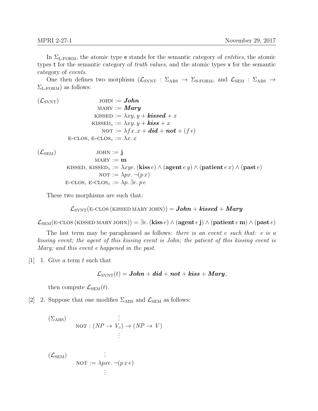In  $\Sigma_{\text{L-FORM}}$ , the atomic type e stands for the semantic category of *entities*, the atomic types t for the semantic category of truth values, and the atomic types v for the semantic category of events.

One then defines two morphism  $(\mathcal{L}_{SYNT} : \Sigma_{\text{ABS}} \to \Sigma_{S\text{-FORM}})$ , and  $\mathcal{L}_{SEM} : \Sigma_{\text{ABS}} \to$  $\Sigma_{\text{L-FORM}}$ ) as follows:

 $(\mathcal{L}_{\text{SYNT}})$  john := **John**  $\text{MARY} := \textit{Mary}$ KISSED :=  $\lambda xy. y + \textbf{kissed} + x$ KISSED<sub>o</sub> :=  $\lambda xy. y + \textit{kiss} + x$ NOT :=  $\lambda fx. x + did + not + (f \epsilon)$ E-CLOS, E-CLOS<sub>o</sub> :=  $\lambda x$ . x

 $(\mathcal{L}_{\mathrm{SEM}})$ 

JOHN := 
$$
\mathbf{j}
$$
  
\nMARY :=  $\mathbf{m}$   
\nKISSED, KISSED<sub>o</sub> :=  $\lambda xye$ . (kiss e)  $\wedge$  (agent e y)  $\wedge$  (patient e x)  $\wedge$  (past e)  
\nNOT :=  $\lambda px$ .  $\neg (px)$   
\nE-CLOS, E-CLOS<sub>o</sub> :=  $\lambda p$ .  $\exists e. pe$ 

These two morphisms are such that:

$$
\mathcal{L}_{\text{SYNT}}(\text{E-CLOS}~(\text{KISSED MARY JOHN})) = \textit{John} + \textit{kissed} + \textit{Mary}
$$

 $\mathcal{L}_{SEM}$ (E-CLOS (KISSED MARY JOHN)) =  $\exists e$ . (kiss e)  $\wedge$  (agent e j)  $\wedge$  (patient e m)  $\wedge$  (past e)

The last term may be paraphrased as follows: there is an event e such that: e is a kissing event; the agent of this kissing event is John; the patient of this kissing event is Mary; and this event e happened in the past.

 $[1]$  1. Give a term t such that

$$
\mathcal{L}_{\text{SYNT}}(t) = \boldsymbol{John} + \boldsymbol{did} + \boldsymbol{not} + \boldsymbol{kiss} + \boldsymbol{Mary},
$$

then compute  $\mathcal{L}_{\text{SEM}}(t)$ .

[2] 2. Suppose that one modifies  $\Sigma_{\rm ABS}$  and  $\mathcal{L}_{\rm SEM}$  as follows:

$$
\begin{array}{lll} \text{(}\Sigma_{\text{ABS}}) & \vdots \\ \text{NOT} : (NP \to V_{\circ}) \to (NP \to V) \\ & \vdots \end{array}
$$

$$
(\mathcal{L}_{SEM}) \qquad \qquad \vdots
$$
  
NOT :=  $\lambda pxe \cdot \neg(p\,x\,e)$   
 :